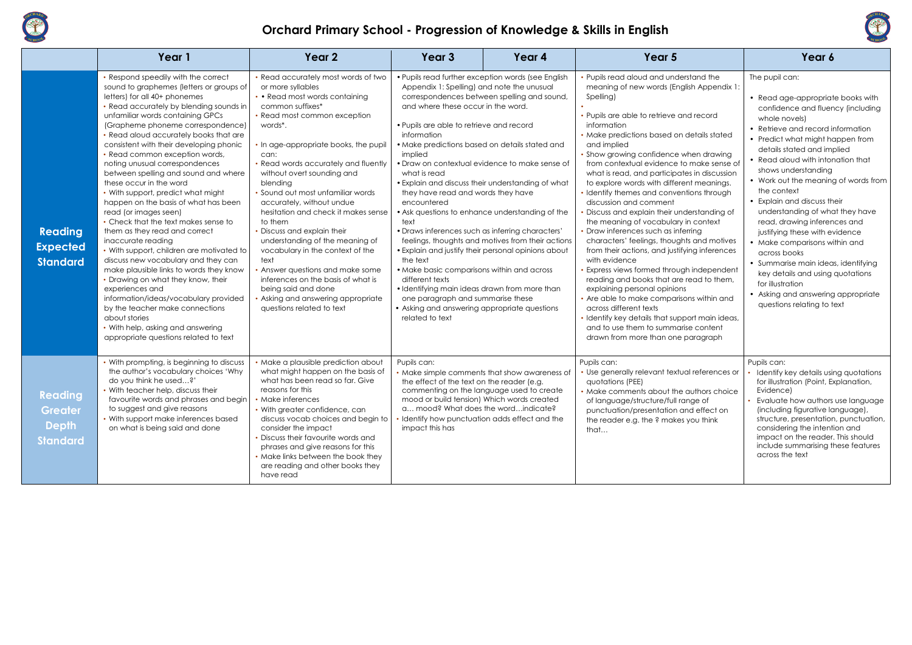

## **Orchard Primary School - Progression of Knowledge & Skills in English**

|                                                              | Year 1                                                                                                                                                                                                                                                                                                                                                                                                                                                                                                                                                                                                                                                                                                                                                                                                                                                                                                                                                                                                                                    | Year 2                                                                                                                                                                                                                                                                                                                                                                                                                                                                                                                                                                                                                                                                                     | Year 3                                                                                                                                                                                                                                                                                                                                                                                                                                                                                                                                                                                                                                                                                                                                                                                                                                                                                                | Year 4                                            | Year 5                                                                                                                                                                                                                                                                                                                                                                                                                                                                                                                                                                                                                                                                                                                                                                                                                                                                                                                                                                                                                                           | Year 6                                                                                                                                                                                                                                                                                                                                                                                                                                                                                                                                                                                                                                                                                      |
|--------------------------------------------------------------|-------------------------------------------------------------------------------------------------------------------------------------------------------------------------------------------------------------------------------------------------------------------------------------------------------------------------------------------------------------------------------------------------------------------------------------------------------------------------------------------------------------------------------------------------------------------------------------------------------------------------------------------------------------------------------------------------------------------------------------------------------------------------------------------------------------------------------------------------------------------------------------------------------------------------------------------------------------------------------------------------------------------------------------------|--------------------------------------------------------------------------------------------------------------------------------------------------------------------------------------------------------------------------------------------------------------------------------------------------------------------------------------------------------------------------------------------------------------------------------------------------------------------------------------------------------------------------------------------------------------------------------------------------------------------------------------------------------------------------------------------|-------------------------------------------------------------------------------------------------------------------------------------------------------------------------------------------------------------------------------------------------------------------------------------------------------------------------------------------------------------------------------------------------------------------------------------------------------------------------------------------------------------------------------------------------------------------------------------------------------------------------------------------------------------------------------------------------------------------------------------------------------------------------------------------------------------------------------------------------------------------------------------------------------|---------------------------------------------------|--------------------------------------------------------------------------------------------------------------------------------------------------------------------------------------------------------------------------------------------------------------------------------------------------------------------------------------------------------------------------------------------------------------------------------------------------------------------------------------------------------------------------------------------------------------------------------------------------------------------------------------------------------------------------------------------------------------------------------------------------------------------------------------------------------------------------------------------------------------------------------------------------------------------------------------------------------------------------------------------------------------------------------------------------|---------------------------------------------------------------------------------------------------------------------------------------------------------------------------------------------------------------------------------------------------------------------------------------------------------------------------------------------------------------------------------------------------------------------------------------------------------------------------------------------------------------------------------------------------------------------------------------------------------------------------------------------------------------------------------------------|
| <b>Reading</b><br><b>Expected</b><br><b>Standard</b>         | • Respond speedily with the correct<br>sound to graphemes (letters or groups of<br>letters) for all 40+ phonemes<br>• Read accurately by blending sounds in<br>unfamiliar words containing GPCs<br>(Grapheme phoneme correspondence)<br>• Read aloud accurately books that are<br>consistent with their developing phonic<br>• Read common exception words,<br>noting unusual correspondences<br>between spelling and sound and where<br>these occur in the word<br>• With support, predict what might<br>happen on the basis of what has been<br>read (or images seen)<br>• Check that the text makes sense to<br>them as they read and correct<br>inaccurate reading<br>• With support, children are motivated to<br>discuss new vocabulary and they can<br>make plausible links to words they know<br>• Drawing on what they know, their<br>experiences and<br>information/ideas/vocabulary provided<br>by the teacher make connections<br>about stories<br>• With help, asking and answering<br>appropriate questions related to text | • Read accurately most words of two<br>or more syllables<br>• Read most words containing<br>common suffixes*<br>• Read most common exception<br>words*.<br>• In age-appropriate books, the pupil<br>can:<br>• Read words accurately and fluently<br>without overt sounding and<br>blending<br>• Sound out most unfamiliar words<br>accurately, without undue<br>hesitation and check it makes sense<br>to them<br>Discuss and explain their<br>understanding of the meaning of<br>vocabulary in the context of the<br>text<br>Answer questions and make some<br>inferences on the basis of what is<br>being said and done<br>Asking and answering appropriate<br>questions related to text | • Pupils read further exception words (see English<br>Appendix 1: Spelling) and note the unusual<br>correspondences between spelling and sound,<br>and where these occur in the word.<br>• Pupils are able to retrieve and record<br>information<br>• Make predictions based on details stated and<br>implied<br>• Draw on contextual evidence to make sense of<br>what is read<br>• Explain and discuss their understanding of what<br>they have read and words they have<br>encountered<br>• Ask questions to enhance understanding of the<br>text<br>• Draws inferences such as inferring characters'<br>• Explain and justify their personal opinions about<br>the text<br>• Make basic comparisons within and across<br>different texts<br>• Identifying main ideas drawn from more than<br>one paragraph and summarise these<br>• Asking and answering appropriate questions<br>related to text | feelings, thoughts and motives from their actions | Pupils read aloud and understand the<br>meaning of new words (English Appendix 1:<br>Spelling)<br>Pupils are able to retrieve and record<br>information<br>Make predictions based on details stated<br>and implied<br>Show growing confidence when drawing<br>from contextual evidence to make sense of<br>what is read, and participates in discussion<br>to explore words with different meanings.<br>Identify themes and conventions through<br>discussion and comment<br>Discuss and explain their understanding of<br>the meaning of vocabulary in context<br>Draw inferences such as inferring<br>characters' feelings, thoughts and motives<br>from their actions, and justifying inferences<br>with evidence<br>Express views formed through independent<br>reading and books that are read to them,<br>explaining personal opinions<br>Are able to make comparisons within and<br>across different texts<br>Identify key details that support main ideas,<br>and to use them to summarise content<br>drawn from more than one paragraph | The pupil can:<br>• Read age-appropriate books with<br>confidence and fluency (including<br>whole novels)<br>• Retrieve and record information<br>• Predict what might happen from<br>details stated and implied<br>• Read aloud with intonation that<br>shows understanding<br>• Work out the meaning of words from<br>the context<br>• Explain and discuss their<br>understanding of what they have<br>read, drawing inferences and<br>justifying these with evidence<br>• Make comparisons within and<br>across books<br>• Summarise main ideas, identifying<br>key details and using quotations<br>for illustration<br>• Asking and answering appropriate<br>questions relating to text |
| Reading<br><b>Greater</b><br><b>Depth</b><br><b>Standard</b> | • With prompting, is beginning to discuss<br>the author's vocabulary choices 'Why<br>do you think he used?'<br>• With teacher help, discuss their<br>favourite words and phrases and begin<br>to suggest and give reasons<br>• With support make inferences based<br>on what is being said and done                                                                                                                                                                                                                                                                                                                                                                                                                                                                                                                                                                                                                                                                                                                                       | · Make a plausible prediction about<br>what might happen on the basis of<br>what has been read so far. Give<br>reasons for this<br>• Make inferences<br>• With greater confidence, can<br>discuss vocab choices and begin to<br>consider the impact<br>· Discuss their favourite words and<br>phrases and give reasons for this<br>• Make links between the book they<br>are reading and other books they<br>have read                                                                                                                                                                                                                                                                     | Pupils can:<br>• Make simple comments that show awareness of<br>the effect of the text on the reader (e.g.<br>commenting on the language used to create<br>mood or build tension) Which words created<br>a mood? What does the wordindicate?<br>Identify how punctuation adds effect and the<br>impact this has                                                                                                                                                                                                                                                                                                                                                                                                                                                                                                                                                                                       |                                                   | Pupils can:<br>Use generally relevant textual references or<br>quotations (PEE)<br>• Make comments about the authors choice<br>of language/structure/full range of<br>punctuation/presentation and effect on<br>the reader e.g. the ? makes you think<br>that                                                                                                                                                                                                                                                                                                                                                                                                                                                                                                                                                                                                                                                                                                                                                                                    | Pupils can:<br>Identify key details using quotations<br>for illustration (Point, Explanation,<br>Evidence)<br>Evaluate how authors use language<br>(including figurative language),<br>structure, presentation, punctuation,<br>considering the intention and<br>impact on the reader. This should<br>include summarising these features<br>across the text                                                                                                                                                                                                                                                                                                                                 |

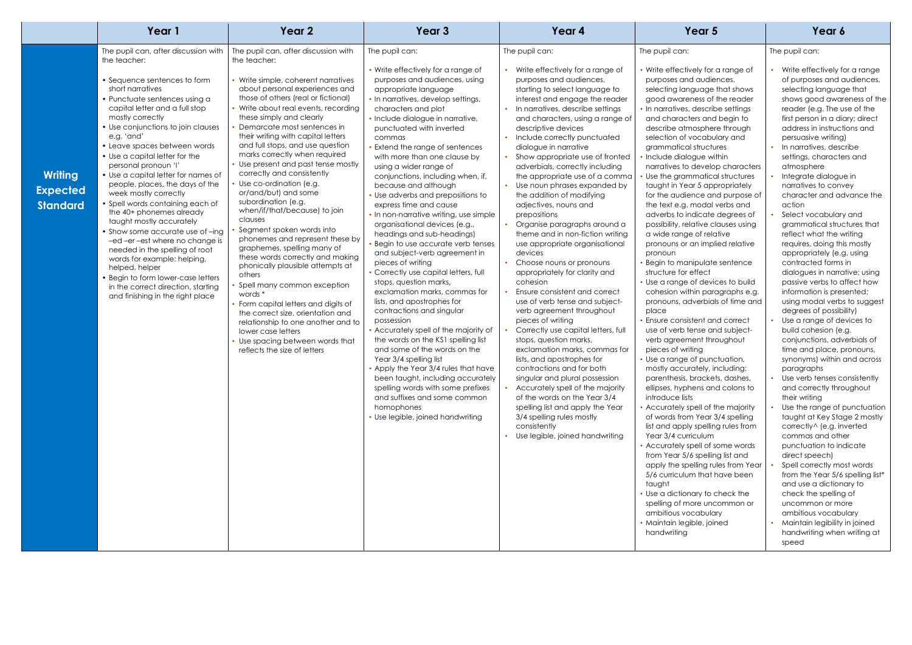|                                                      | Year 1                                                                                                                                                                                                                                                                                                                                                                                                                                                                                                                                                                                                                                                                                                                         | Year 2                                                                                                                                                                                                                                                                                                                                                                                                                                                                                                                                                                                                                                                                                                                                                                                                                                                                                                         | Year 3                                                                                                                                                                                                                                                                                                                                                                                                                                                                                                                                                                                                                                                                                                                                                                                                                                                                                                                                                                                                                                                                                                              | Year 4                                                                                                                                                                                                                                                                                                                                                                                                                                                                                                                                                                                                                                                                                                                                                                                                                                                                                                                                                                                                                                                                                                                                                   | Year 5                                                                                                                                                                                                                                                                                                                                                                                                                                                                                                                                                                                                                                                                                                                                                                                                                                                                                                                                                                                                                                                                                                                                                                                                                                                                                                                                                                                                                                                                                               | Year 6                                                                                                                                                                                                                                                                                                                                                                                                                                                                                                                                                                                                                                                                                                                                                                                                                                                                                                                                                                                                                      |
|------------------------------------------------------|--------------------------------------------------------------------------------------------------------------------------------------------------------------------------------------------------------------------------------------------------------------------------------------------------------------------------------------------------------------------------------------------------------------------------------------------------------------------------------------------------------------------------------------------------------------------------------------------------------------------------------------------------------------------------------------------------------------------------------|----------------------------------------------------------------------------------------------------------------------------------------------------------------------------------------------------------------------------------------------------------------------------------------------------------------------------------------------------------------------------------------------------------------------------------------------------------------------------------------------------------------------------------------------------------------------------------------------------------------------------------------------------------------------------------------------------------------------------------------------------------------------------------------------------------------------------------------------------------------------------------------------------------------|---------------------------------------------------------------------------------------------------------------------------------------------------------------------------------------------------------------------------------------------------------------------------------------------------------------------------------------------------------------------------------------------------------------------------------------------------------------------------------------------------------------------------------------------------------------------------------------------------------------------------------------------------------------------------------------------------------------------------------------------------------------------------------------------------------------------------------------------------------------------------------------------------------------------------------------------------------------------------------------------------------------------------------------------------------------------------------------------------------------------|----------------------------------------------------------------------------------------------------------------------------------------------------------------------------------------------------------------------------------------------------------------------------------------------------------------------------------------------------------------------------------------------------------------------------------------------------------------------------------------------------------------------------------------------------------------------------------------------------------------------------------------------------------------------------------------------------------------------------------------------------------------------------------------------------------------------------------------------------------------------------------------------------------------------------------------------------------------------------------------------------------------------------------------------------------------------------------------------------------------------------------------------------------|------------------------------------------------------------------------------------------------------------------------------------------------------------------------------------------------------------------------------------------------------------------------------------------------------------------------------------------------------------------------------------------------------------------------------------------------------------------------------------------------------------------------------------------------------------------------------------------------------------------------------------------------------------------------------------------------------------------------------------------------------------------------------------------------------------------------------------------------------------------------------------------------------------------------------------------------------------------------------------------------------------------------------------------------------------------------------------------------------------------------------------------------------------------------------------------------------------------------------------------------------------------------------------------------------------------------------------------------------------------------------------------------------------------------------------------------------------------------------------------------------|-----------------------------------------------------------------------------------------------------------------------------------------------------------------------------------------------------------------------------------------------------------------------------------------------------------------------------------------------------------------------------------------------------------------------------------------------------------------------------------------------------------------------------------------------------------------------------------------------------------------------------------------------------------------------------------------------------------------------------------------------------------------------------------------------------------------------------------------------------------------------------------------------------------------------------------------------------------------------------------------------------------------------------|
|                                                      | The pupil can, after discussion with<br>the teacher:<br>• Sequence sentences to form                                                                                                                                                                                                                                                                                                                                                                                                                                                                                                                                                                                                                                           | The pupil can, after discussion with<br>the teacher:<br>Write simple, coherent narratives                                                                                                                                                                                                                                                                                                                                                                                                                                                                                                                                                                                                                                                                                                                                                                                                                      | The pupil can:<br>• Write effectively for a range of<br>purposes and audiences, using                                                                                                                                                                                                                                                                                                                                                                                                                                                                                                                                                                                                                                                                                                                                                                                                                                                                                                                                                                                                                               | The pupil can:<br>• Write effectively for a range of<br>purposes and audiences,                                                                                                                                                                                                                                                                                                                                                                                                                                                                                                                                                                                                                                                                                                                                                                                                                                                                                                                                                                                                                                                                          | The pupil can:<br>• Write effectively for a range of<br>purposes and audiences,                                                                                                                                                                                                                                                                                                                                                                                                                                                                                                                                                                                                                                                                                                                                                                                                                                                                                                                                                                                                                                                                                                                                                                                                                                                                                                                                                                                                                      | The pupil can:<br>Write effectively fo<br>of purposes and c                                                                                                                                                                                                                                                                                                                                                                                                                                                                                                                                                                                                                                                                                                                                                                                                                                                                                                                                                                 |
| <b>Writing</b><br><b>Expected</b><br><b>Standard</b> | short narratives<br>• Punctuate sentences using a<br>capital letter and a full stop<br>mostly correctly<br>• Use conjunctions to join clauses<br>e.g. 'and'<br>• Leave spaces between words<br>• Use a capital letter for the<br>personal pronoun 'l'<br>• Use a capital letter for names of<br>people, places, the days of the<br>week mostly correctly<br>• Spell words containing each of<br>the 40+ phonemes already<br>taught mostly accurately<br>• Show some accurate use of -ing<br>-ed -er -est where no change is<br>needed in the spelling of root<br>words for example: helping,<br>helped, helper<br>• Begin to form lower-case letters<br>in the correct direction, starting<br>and finishing in the right place | about personal experiences and<br>those of others (real or fictional)<br>Write about real events, recording<br>these simply and clearly<br>Demarcate most sentences in<br>their writing with capital letters<br>and full stops, and use question<br>marks correctly when required<br>Use present and past tense mostly<br>correctly and consistently<br>Use co-ordination (e.g.<br>or/and/but) and some<br>subordination (e.g.<br>when/if/that/because) to join<br>clauses<br>Segment spoken words into<br>phonemes and represent these by<br>graphemes, spelling many of<br>these words correctly and making<br>phonically plausible attempts at<br>others<br>Spell many common exception<br>words *<br>Form capital letters and digits of<br>the correct size, orientation and<br>relationship to one another and to<br>lower case letters<br>Use spacing between words that<br>reflects the size of letters | appropriate language<br>• In narratives, develop settings,<br>characters and plot<br>· Include dialogue in narrative,<br>punctuated with inverted<br>commas<br>• Extend the range of sentences<br>with more than one clause by<br>using a wider range of<br>conjunctions, including when, if,<br>because and although<br>• Use adverbs and prepositions to<br>express time and cause<br>• In non-narrative writing, use simple<br>organisational devices (e.g.,<br>headings and sub-headings)<br>· Begin to use accurate verb tenses<br>and subject-verb agreement in<br>pieces of writing<br>Correctly use capital letters, full<br>stops, question marks,<br>exclamation marks, commas for<br>lists, and apostrophes for<br>contractions and singular<br>possession<br>• Accurately spell of the majority of<br>the words on the KS1 spelling list<br>and some of the words on the<br>Year 3/4 spelling list<br>• Apply the Year 3/4 rules that have<br>been taught, including accurately<br>spelling words with some prefixes<br>and suffixes and some common<br>homophones<br>• Use legible, joined handwriting | starting to select language to<br>interest and engage the reader<br>• In narratives, describe settings<br>and characters, using a range of<br>descriptive devices<br>• Include correctly punctuated<br>dialogue in narrative<br>Show appropriate use of fronted<br>adverbials, correctly including<br>the appropriate use of a comma<br>• Use noun phrases expanded by<br>the addition of modifying<br>adjectives, nouns and<br>prepositions<br>Organise paragraphs around a<br>theme and in non-fiction writing<br>use appropriate organisational<br>devices<br>• Choose nouns or pronouns<br>appropriately for clarity and<br>cohesion<br>Ensure consistent and correct<br>use of verb tense and subject-<br>verb agreement throughout<br>pieces of writing<br>Correctly use capital letters, full<br>stops, question marks,<br>exclamation marks, commas for<br>lists, and apostrophes for<br>contractions and for both<br>singular and plural possession<br>• Accurately spell of the majority<br>of the words on the Year 3/4<br>spelling list and apply the Year<br>3/4 spelling rules mostly<br>consistently<br>• Use legible, joined handwriting | selecting language that shows<br>good awareness of the reader<br>. In narratives, describe settings<br>and characters and begin to<br>describe atmosphere through<br>selection of vocabulary and<br>grammatical structures<br>Include dialogue within<br>narratives to develop characters<br>Use the grammatical structures<br>taught in Year 5 appropriately<br>for the audience and purpose of<br>the text e.g. modal verbs and<br>adverbs to indicate degrees of<br>possibility, relative clauses using<br>a wide range of relative<br>pronouns or an implied relative<br>pronoun<br><b>Begin to manipulate sentence</b><br>structure for effect<br>• Use a range of devices to build<br>cohesion within paragraphs e.g.<br>pronouns, adverbials of time and<br>place<br><b>Ensure consistent and correct</b><br>use of verb tense and subject-<br>verb agreement throughout<br>pieces of writing<br>• Use a range of punctuation,<br>mostly accurately, including:<br>parenthesis, brackets, dashes,<br>ellipses, hyphens and colons to<br>introduce lists<br>• Accurately spell of the majority<br>of words from Year 3/4 spelling<br>list and apply spelling rules from<br>Year 3/4 curriculum<br>• Accurately spell of some words<br>from Year 5/6 spelling list and<br>apply the spelling rules from Year<br>5/6 curriculum that have been<br>taught<br>• Use a dictionary to check the<br>spelling of more uncommon or<br>ambitious vocabulary<br>· Maintain legible, joined<br>handwriting | selecting languag<br>shows good awar<br>reader (e.g. The u<br>first person in a dio<br>address in instruct<br>persuasive writing<br>• In narratives, desc<br>settings, characte<br>atmosphere<br>Integrate dialogue<br>narratives to conv<br>character and ac<br>action<br>Select vocabulary<br>grammatical struc<br>reflect what the w<br>requires, doing thi<br>appropriately (e.g<br>contracted forms<br>dialogues in narra<br>passive verbs to a<br>information is pres<br>using modal verbs<br>degrees of possib<br>Use a range of de<br>build cohesion (e.<br>conjunctions, adv<br>time and place, p<br>synonyms) within<br>paragraphs<br>• Use verb tenses co<br>and correctly thro<br>their writing<br>Use the range of p<br>taught at Key Stag<br>correctly^ (e.g. in<br>commas and othe<br>punctuation to ind<br>direct speech)<br>Spell correctly mo<br>from the Year 5/6<br>and use a diction<br>check the spelling<br>uncommon or mc<br>ambitious vocabu<br>• Maintain legibility<br>handwriting when<br>speed |



### The pupil can:

- Write effectively for a range of purposes and audiences, selecting language that shows good awareness of the reader (e.g. The use of the first person in a diary; direct address in instructions and persuasive writing)
- In narratives, describe settings, characters and atmosphere
- Integrate dialogue in narratives to convey character and advance the action
- Select vocabulary and grammatical structures that reflect what the writing requires, doing this mostly appropriately (e.g. using contracted forms in dialogues in narrative; using passive verbs to affect how information is presented; using modal verbs to suggest degrees of possibility)
- Use a range of devices to build cohesion (e.g. conjunctions, adverbials of time and place, pronouns, synonyms) within and across paragraphs
- Use verb tenses consistently and correctly throughout their writing
- Use the range of punctuation taught at Key Stage 2 mostly correctly^ (e.g. inverted commas and other punctuation to indicate direct speech)
- Spell correctly most words from the Year 5/6 spelling list\* and use a dictionary to check the spelling of uncommon or more ambitious vocabulary
- Maintain legibility in joined handwriting when writing at speed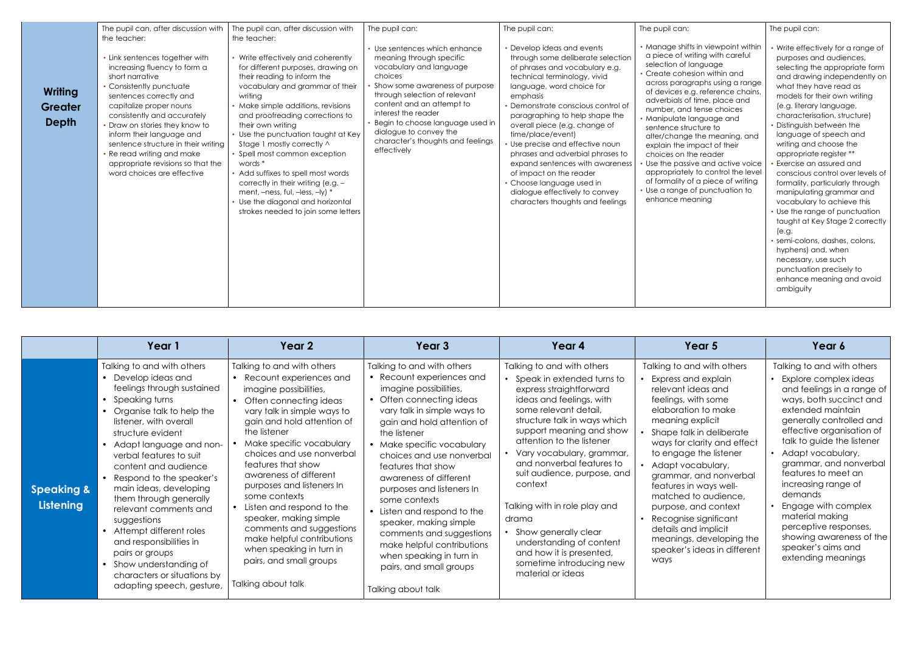|                                           | The pupil can, after discussion with<br>the teacher:                                                                                                                                                                                                                                                                                                                                                      | The pupil can, after discussion with<br>the teacher:                                                                                                                                                                                                                                                                                                                                                                                                                                                                                                                   | The pupil can:                                                                                                                                                                                                                                                                                                                         | The pupil can:                                                                                                                                                                                                                                                                                                                                                                                                                                                                                                                              | The pupil can:                                                                                                                                                                                                                                                                                                                                                                                                                                                                                                                                                                         | The pupil can:                                                                                                                                                                                                                                                                                                                                                                                                                                                                                                                                                                                                                                                                                                                                                    |
|-------------------------------------------|-----------------------------------------------------------------------------------------------------------------------------------------------------------------------------------------------------------------------------------------------------------------------------------------------------------------------------------------------------------------------------------------------------------|------------------------------------------------------------------------------------------------------------------------------------------------------------------------------------------------------------------------------------------------------------------------------------------------------------------------------------------------------------------------------------------------------------------------------------------------------------------------------------------------------------------------------------------------------------------------|----------------------------------------------------------------------------------------------------------------------------------------------------------------------------------------------------------------------------------------------------------------------------------------------------------------------------------------|---------------------------------------------------------------------------------------------------------------------------------------------------------------------------------------------------------------------------------------------------------------------------------------------------------------------------------------------------------------------------------------------------------------------------------------------------------------------------------------------------------------------------------------------|----------------------------------------------------------------------------------------------------------------------------------------------------------------------------------------------------------------------------------------------------------------------------------------------------------------------------------------------------------------------------------------------------------------------------------------------------------------------------------------------------------------------------------------------------------------------------------------|-------------------------------------------------------------------------------------------------------------------------------------------------------------------------------------------------------------------------------------------------------------------------------------------------------------------------------------------------------------------------------------------------------------------------------------------------------------------------------------------------------------------------------------------------------------------------------------------------------------------------------------------------------------------------------------------------------------------------------------------------------------------|
| <b>Writing</b><br><b>Greater</b><br>Depth | • Link sentences together with<br>increasing fluency to form a<br>short narrative<br>• Consistently punctuate<br>sentences correctly and<br>capitalize proper nouns<br>consistently and accurately<br>• Draw on stories they know to<br>inform their language and<br>sentence structure in their writing<br>• Re read writing and make<br>appropriate revisions so that the<br>word choices are effective | • Write effectively and coherently<br>for different purposes, drawing on<br>their reading to inform the<br>vocabulary and grammar of their<br>writing<br>• Make simple additions, revisions<br>and proofreading corrections to<br>their own writing<br>• Use the punctuation taught at Key<br>Stage 1 mostly correctly ^<br>• Spell most common exception<br>words *<br>• Add suffixes to spell most words<br>correctly in their writing (e.g. -<br>ment, $-ness$ , ful, $-less$ , $-ly$ ) *<br>Use the diagonal and horizontal<br>strokes needed to join some letters | Use sentences which enhance<br>meaning through specific<br>vocabulary and language<br>choices<br>Show some awareness of purpose<br>through selection of relevant<br>content and an attempt to<br>interest the reader<br>Begin to choose language used in<br>dialogue to convey the<br>character's thoughts and feelings<br>effectively | • Develop ideas and events<br>through some deliberate selection<br>of phrases and vocabulary e.g.<br>technical terminology, vivid<br>language, word choice for<br>emphasis<br>Demonstrate conscious control of<br>paragraphing to help shape the<br>overall piece (e.g. change of<br>time/place/event)<br>Use precise and effective noun<br>phrases and adverbial phrases to<br>expand sentences with awareness<br>of impact on the reader<br>Choose language used in<br>dialogue effectively to convey<br>characters thoughts and feelings | • Manage shifts in viewpoint within<br>a piece of writing with careful<br>selection of language<br>Create cohesion within and<br>across paragraphs using a range<br>of devices e.g. reference chains,<br>adverbials of time, place and<br>number, and tense choices<br>• Manipulate language and<br>sentence structure to<br>alter/change the meaning, and<br>explain the impact of their<br>choices on the reader<br>Use the passive and active voice<br>appropriately to control the level<br>of formality of a piece of writing<br>Use a range of punctuation to<br>enhance meaning | Write effectively for a range of<br>purposes and audiences,<br>selecting the appropriate form<br>and drawing independently on<br>what they have read as<br>models for their own writing<br>(e.g. literary language,<br>characterisation, structure)<br><b>Distinguish between the</b><br>language of speech and<br>writing and choose the<br>appropriate register **<br>Exercise an assured and<br>conscious control over levels of<br>formality, particularly through<br>manipulating grammar and<br>vocabulary to achieve this<br>Use the range of punctuation<br>taught at Key Stage 2 correctly<br>(e.g.<br>· semi-colons, dashes, colons,<br>hyphens) and, when<br>necessary, use such<br>punctuation precisely to<br>enhance meaning and avoid<br>ambiguity |

|                                    | Year 1                                                                                                                                                                                                                                                                                                                                                                                                                                                                                                                                              | Year 2                                                                                                                                                                                                                                                                                                                                                                                                                                                                                                                                        | Year 3                                                                                                                                                                                                                                                                                                                                                                                                                                                                                                                                              | Year 4                                                                                                                                                                                                                                                                                                                                                                                                                                                                                                           | Year 5                                                                                                                                                                                                                                                                                                                                                                                                                                                                         | Year 6                                                                                                                                                                                                                                                                                                                                                                                                                                                                        |
|------------------------------------|-----------------------------------------------------------------------------------------------------------------------------------------------------------------------------------------------------------------------------------------------------------------------------------------------------------------------------------------------------------------------------------------------------------------------------------------------------------------------------------------------------------------------------------------------------|-----------------------------------------------------------------------------------------------------------------------------------------------------------------------------------------------------------------------------------------------------------------------------------------------------------------------------------------------------------------------------------------------------------------------------------------------------------------------------------------------------------------------------------------------|-----------------------------------------------------------------------------------------------------------------------------------------------------------------------------------------------------------------------------------------------------------------------------------------------------------------------------------------------------------------------------------------------------------------------------------------------------------------------------------------------------------------------------------------------------|------------------------------------------------------------------------------------------------------------------------------------------------------------------------------------------------------------------------------------------------------------------------------------------------------------------------------------------------------------------------------------------------------------------------------------------------------------------------------------------------------------------|--------------------------------------------------------------------------------------------------------------------------------------------------------------------------------------------------------------------------------------------------------------------------------------------------------------------------------------------------------------------------------------------------------------------------------------------------------------------------------|-------------------------------------------------------------------------------------------------------------------------------------------------------------------------------------------------------------------------------------------------------------------------------------------------------------------------------------------------------------------------------------------------------------------------------------------------------------------------------|
| <b>Speaking &amp;</b><br>Listening | Talking to and with others<br>Develop ideas and<br>feelings through sustained<br>• Speaking turns<br>Organise talk to help the<br>listener, with overall<br>structure evident<br>Adapt language and non-<br>verbal features to suit<br>content and audience<br>Respond to the speaker's<br>main ideas, developing<br>them through generally<br>relevant comments and<br>suggestions<br>• Attempt different roles<br>and responsibilities in<br>pairs or groups<br>Show understanding of<br>characters or situations by<br>adapting speech, gesture, | Talking to and with others<br>• Recount experiences and<br>imagine possibilities,<br>Often connecting ideas<br>vary talk in simple ways to<br>gain and hold attention of<br>the listener<br>Make specific vocabulary<br>choices and use nonverbal<br>features that show<br>awareness of different<br>purposes and listeners In<br>some contexts<br>Listen and respond to the<br>speaker, making simple<br>comments and suggestions<br>make helpful contributions<br>when speaking in turn in<br>pairs, and small groups<br>Talking about talk | Talking to and with others<br>• Recount experiences and<br>imagine possibilities,<br>• Often connecting ideas<br>vary talk in simple ways to<br>gain and hold attention of<br>the listener<br>• Make specific vocabulary<br>choices and use nonverbal<br>features that show<br>awareness of different<br>purposes and listeners In<br>some contexts<br>• Listen and respond to the<br>speaker, making simple<br>comments and suggestions<br>make helpful contributions<br>when speaking in turn in<br>pairs, and small groups<br>Talking about talk | Talking to and with others<br>Speak in extended turns to<br>express straightforward<br>ideas and feelings, with<br>some relevant detail,<br>structure talk in ways which<br>support meaning and show<br>attention to the listener<br>Vary vocabulary, grammar,<br>and nonverbal features to<br>suit audience, purpose, and<br>context<br>Talking with in role play and<br>drama<br>Show generally clear<br>understanding of content<br>and how it is presented,<br>sometime introducing new<br>material or ideas | Talking to and with others<br>• Express and explain<br>relevant ideas and<br>feelings, with some<br>elaboration to make<br>meaning explicit<br>Shape talk in deliberate<br>ways for clarity and effect<br>to engage the listener<br>Adapt vocabulary,<br>grammar, and nonverbal<br>features in ways well-<br>matched to audience,<br>purpose, and context<br>Recognise significant<br>details and implicit<br>meanings, developing the<br>speaker's ideas in different<br>ways | Talking to and with others<br>• Explore complex ideas<br>and feelings in a range of<br>ways, both succinct and<br>extended maintain<br>generally controlled and<br>effective organisation of<br>talk to guide the listener<br>Adapt vocabulary,<br>grammar, and nonverbal<br>features to meet an<br>increasing range of<br>demands<br>Engage with complex<br>material making<br>perceptive responses,<br>showing awareness of the<br>speaker's aims and<br>extending meanings |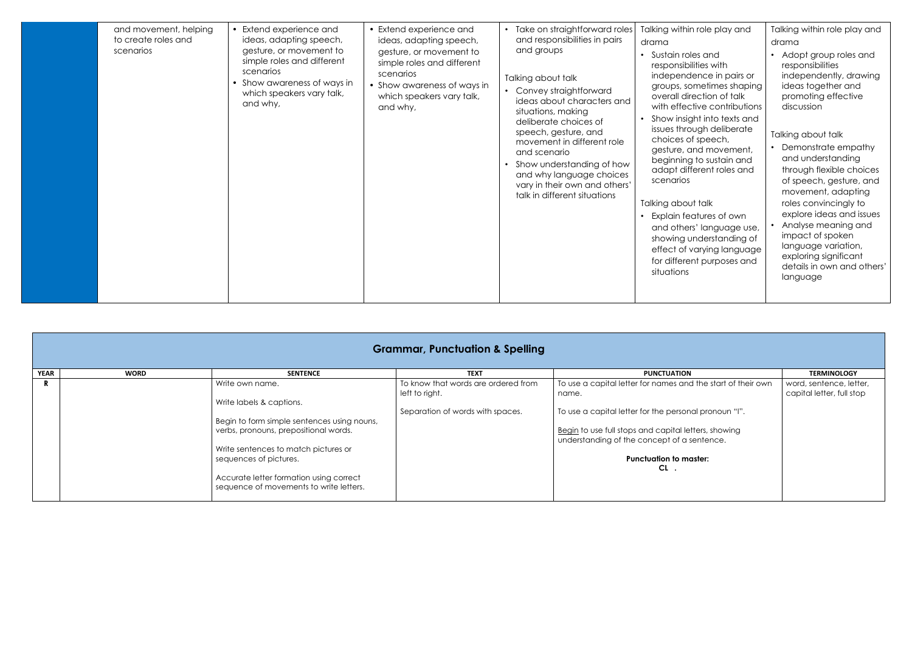| and movement, helping<br>to create roles and<br>scenarios | • Extend experience and<br>ideas, adapting speech,<br>gesture, or movement to<br>simple roles and different<br>scenarios<br>• Show awareness of ways in<br>which speakers vary talk,<br>and why, | • Extend experience and<br>ideas, adapting speech,<br>gesture, or movement to<br>simple roles and different<br>scenarios<br>• Show awareness of ways in<br>which speakers vary talk,<br>and why, | Take on straightforward roles<br>and responsibilities in pairs<br>and groups<br>Talking about talk<br>Convey straightforward<br>ideas about characters and<br>situations, making<br>deliberate choices of<br>speech, gesture, and<br>movement in different role<br>and scenario<br>Show understanding of how<br>and why language choices<br>vary in their own and others'<br>talk in different situations | Talking within role play and<br>drama<br>Sustain roles and<br>responsibilities with<br>independence in pairs or<br>groups, sometimes shaping<br>overall direction of talk<br>with effective contributions<br>Show insight into texts and<br>issues through deliberate<br>choices of speech,<br>gesture, and movement,<br>beginning to sustain and<br>adapt different roles and<br>scenarios<br>Talking about talk<br>Explain features of own<br>and others' language use,<br>showing understanding of<br>effect of varying language<br>for different purposes and<br>situations | Talking within role play and<br>drama<br>• Adopt group roles and<br>responsibilities<br>independently, drawing<br>ideas together and<br>promoting effective<br>discussion<br>Talking about talk<br>• Demonstrate empathy<br>and understanding<br>through flexible choices<br>of speech, gesture, and<br>movement, adapting<br>roles convincingly to<br>explore ideas and issues<br>Analyse meaning and<br>impact of spoken<br>language variation,<br>exploring significant<br>details in own and others'<br>language |
|-----------------------------------------------------------|--------------------------------------------------------------------------------------------------------------------------------------------------------------------------------------------------|--------------------------------------------------------------------------------------------------------------------------------------------------------------------------------------------------|-----------------------------------------------------------------------------------------------------------------------------------------------------------------------------------------------------------------------------------------------------------------------------------------------------------------------------------------------------------------------------------------------------------|---------------------------------------------------------------------------------------------------------------------------------------------------------------------------------------------------------------------------------------------------------------------------------------------------------------------------------------------------------------------------------------------------------------------------------------------------------------------------------------------------------------------------------------------------------------------------------|----------------------------------------------------------------------------------------------------------------------------------------------------------------------------------------------------------------------------------------------------------------------------------------------------------------------------------------------------------------------------------------------------------------------------------------------------------------------------------------------------------------------|
|                                                           |                                                                                                                                                                                                  |                                                                                                                                                                                                  |                                                                                                                                                                                                                                                                                                                                                                                                           |                                                                                                                                                                                                                                                                                                                                                                                                                                                                                                                                                                                 |                                                                                                                                                                                                                                                                                                                                                                                                                                                                                                                      |

|             | <b>Grammar, Punctuation &amp; Spelling</b> |                                                                                                                                                                                                                                                                                             |                                                                                           |                                                                                                                                                                                                                                                                              |                                                      |  |  |  |
|-------------|--------------------------------------------|---------------------------------------------------------------------------------------------------------------------------------------------------------------------------------------------------------------------------------------------------------------------------------------------|-------------------------------------------------------------------------------------------|------------------------------------------------------------------------------------------------------------------------------------------------------------------------------------------------------------------------------------------------------------------------------|------------------------------------------------------|--|--|--|
| <b>YEAR</b> | <b>WORD</b>                                | <b>SENTENCE</b>                                                                                                                                                                                                                                                                             | <b>TEXT</b>                                                                               | <b>PUNCTUATION</b>                                                                                                                                                                                                                                                           | <b>TERMINOLOGY</b>                                   |  |  |  |
|             |                                            | Write own name.<br>Write labels & captions.<br>Begin to form simple sentences using nouns,<br>verbs, pronouns, prepositional words.<br>Write sentences to match pictures or<br>sequences of pictures.<br>Accurate letter formation using correct<br>sequence of movements to write letters. | To know that words are ordered from<br>left to right.<br>Separation of words with spaces. | To use a capital letter for names and the start of their own<br>name.<br>To use a capital letter for the personal pronoun "I".<br>Begin to use full stops and capital letters, showing<br>understanding of the concept of a sentence.<br><b>Punctuation to master:</b><br>CL | word, sentence, letter,<br>capital letter, full stop |  |  |  |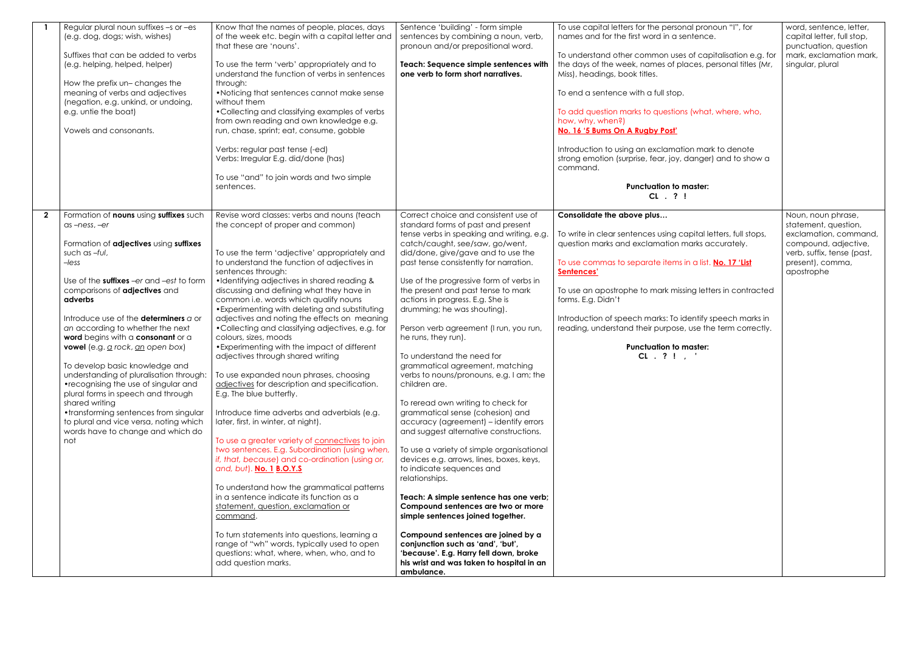| Regular plural noun suffixes -s or -es<br>(e.g. dog, dogs; wish, wishes)<br>Suffixes that can be added to verbs<br>(e.g. helping, helped, helper)<br>How the prefix un- changes the<br>meaning of verbs and adjectives<br>(negation, e.g. unkind, or undoing,<br>e.g. untie the boat)<br>Vowels and consonants.                                                                                                                                                                                                                                                                                                                                                                                           | Know that the names of people, places, days<br>of the week etc. begin with a capital letter and<br>that these are 'nouns'.<br>To use the term 'verb' appropriately and to<br>understand the function of verbs in sentences<br>through:<br>•Noticing that sentences cannot make sense<br>without them<br>• Collecting and classifying examples of verbs<br>from own reading and own knowledge e.g.<br>run, chase, sprint; eat, consume, gobble<br>Verbs: regular past tense (-ed)<br>Verbs: Irregular E.g. did/done (has)<br>To use "and" to join words and two simple<br>sentences.                                                                                                                                                                                                                                                                                                                                                                                                                                                                                                                                                                                                                                                                                                                                               | Sentence 'building' - form simple<br>sentences by combining a noun, verb,<br>pronoun and/or prepositional word.<br>Teach: Sequence simple sentences with<br>one verb to form short narratives.                                                                                                                                                                                                                                                                                                                                                                                                                                                                                                                                                                                                                                                                                                                                                                                                                                                                                                                                                                                                          | To use capital letters for the personal pronoun "I", for<br>names and for the first word in a sentence.<br>To understand other common uses of capitalisation e.g. for<br>the days of the week, names of places, personal titles (Mr,<br>Miss), headings, book titles.<br>To end a sentence with a full stop.<br>To add question marks to questions (what, where, who,<br>how, why, when?)<br>No. 16'5 Bums On A Rugby Post'<br>Introduction to using an exclamation mark to denote<br>strong emotion (surprise, fear, joy, danger) and to show a<br>command.<br><b>Punctuation to master:</b> |
|-----------------------------------------------------------------------------------------------------------------------------------------------------------------------------------------------------------------------------------------------------------------------------------------------------------------------------------------------------------------------------------------------------------------------------------------------------------------------------------------------------------------------------------------------------------------------------------------------------------------------------------------------------------------------------------------------------------|-----------------------------------------------------------------------------------------------------------------------------------------------------------------------------------------------------------------------------------------------------------------------------------------------------------------------------------------------------------------------------------------------------------------------------------------------------------------------------------------------------------------------------------------------------------------------------------------------------------------------------------------------------------------------------------------------------------------------------------------------------------------------------------------------------------------------------------------------------------------------------------------------------------------------------------------------------------------------------------------------------------------------------------------------------------------------------------------------------------------------------------------------------------------------------------------------------------------------------------------------------------------------------------------------------------------------------------|---------------------------------------------------------------------------------------------------------------------------------------------------------------------------------------------------------------------------------------------------------------------------------------------------------------------------------------------------------------------------------------------------------------------------------------------------------------------------------------------------------------------------------------------------------------------------------------------------------------------------------------------------------------------------------------------------------------------------------------------------------------------------------------------------------------------------------------------------------------------------------------------------------------------------------------------------------------------------------------------------------------------------------------------------------------------------------------------------------------------------------------------------------------------------------------------------------|-----------------------------------------------------------------------------------------------------------------------------------------------------------------------------------------------------------------------------------------------------------------------------------------------------------------------------------------------------------------------------------------------------------------------------------------------------------------------------------------------------------------------------------------------------------------------------------------------|
|                                                                                                                                                                                                                                                                                                                                                                                                                                                                                                                                                                                                                                                                                                           |                                                                                                                                                                                                                                                                                                                                                                                                                                                                                                                                                                                                                                                                                                                                                                                                                                                                                                                                                                                                                                                                                                                                                                                                                                                                                                                                   |                                                                                                                                                                                                                                                                                                                                                                                                                                                                                                                                                                                                                                                                                                                                                                                                                                                                                                                                                                                                                                                                                                                                                                                                         | CL . ? !                                                                                                                                                                                                                                                                                                                                                                                                                                                                                                                                                                                      |
| $\overline{2}$<br>Formation of nouns using suffixes such<br>as-ness, -er<br>Formation of adjectives using suffixes<br>such as -ful,<br>$-less$<br>Use of the suffixes -er and -est to form<br>comparisons of adjectives and<br>adverbs<br>Introduce use of the determiners a or<br>an according to whether the next<br>word begins with a consonant or a<br>vowel (e.g. a rock, an open box)<br>To develop basic knowledge and<br>understanding of pluralisation through:<br>•recognising the use of singular and<br>plural forms in speech and through<br>shared writing<br>• transforming sentences from singular<br>to plural and vice versa, noting which<br>words have to change and which do<br>not | Revise word classes: verbs and nouns (teach<br>the concept of proper and common)<br>To use the term 'adjective' appropriately and<br>to understand the function of adjectives in<br>sentences through:<br>•Identifying adjectives in shared reading &<br>discussing and defining what they have in<br>common i.e. words which qualify nouns<br>• Experimenting with deleting and substituting<br>adjectives and noting the effects on meaning<br>•Collecting and classifying adjectives, e.g. for<br>colours, sizes, moods<br>• Experimenting with the impact of different<br>adjectives through shared writing<br>To use expanded noun phrases, choosing<br>adjectives for description and specification.<br>E.g. The blue butterfly.<br>Introduce time adverbs and adverbials (e.g.<br>later, first, in winter, at night).<br>To use a greater variety of connectives to join<br>two sentences. E.g. Subordination (using when,<br>if, that, because) and co-ordination (using or,<br>and, but). No. 1 B.O.Y.S<br>To understand how the grammatical patterns<br>in a sentence indicate its function as a<br>statement, question, exclamation or<br>command.<br>To turn statements into questions, learning a<br>range of "wh" words, typically used to open<br>questions: what, where, when, who, and to<br>add question marks. | Correct choice and consistent use of<br>standard forms of past and present<br>tense verbs in speaking and writing, e.g.<br>catch/caught, see/saw, go/went,<br>did/done, give/gave and to use the<br>past tense consistently for narration.<br>Use of the progressive form of verbs in<br>the present and past tense to mark<br>actions in progress. E.g. She is<br>drumming; he was shouting).<br>Person verb agreement (I run, you run,<br>he runs, they run).<br>To understand the need for<br>grammatical agreement, matching<br>verbs to nouns/pronouns, e.g. I am; the<br>children are.<br>To reread own writing to check for<br>grammatical sense (cohesion) and<br>accuracy (agreement) - identify errors<br>and suggest alternative constructions.<br>To use a variety of simple organisational<br>devices e.g. arrows, lines, boxes, keys,<br>to indicate sequences and<br>relationships.<br>Teach: A simple sentence has one verb;<br>Compound sentences are two or more<br>simple sentences joined together.<br>Compound sentences are joined by a<br>conjunction such as 'and', 'but',<br>'because'. E.g. Harry fell down, broke<br>his wrist and was taken to hospital in an<br>ambulance. | Consolidate the above plus<br>To write in clear sentences using capital letters, full stops,<br>question marks and exclamation marks accurately.<br>To use commas to separate items in a list. No. 17 'List<br>Sentences'<br>To use an apostrophe to mark missing letters in contracted<br>forms. E.g. Didn't<br>Introduction of speech marks: To identify speech marks in<br>reading, understand their purpose, use the term correctly.<br><b>Punctuation to master:</b><br>CL. ? !                                                                                                          |

| al pronoun "I", for<br>ntence.<br>of capitalisation e.g. for<br>ces, personal titles (Mr, | word, sentence, letter,<br>capital letter, full stop,<br>punctuation, question<br>mark, exclamation mark,<br>singular, plural |
|-------------------------------------------------------------------------------------------|-------------------------------------------------------------------------------------------------------------------------------|
| (what, where, who,                                                                        |                                                                                                                               |
| n mark to denote<br>anger) and to show a                                                  |                                                                                                                               |
| aster:                                                                                    |                                                                                                                               |
| pital letters, full stops,<br>arks accurately.                                            | Noun, noun phrase,<br>statement, question,<br>exclamation, command,<br>compound, adjective,<br>verb, suffix, tense (past,     |
| i a list. <mark>No. 17 'List</mark>                                                       | present), comma,<br>apostrophe                                                                                                |
| ng letters in contracted                                                                  |                                                                                                                               |
| entify speech marks in<br>use the term correctly.                                         |                                                                                                                               |
| aster:                                                                                    |                                                                                                                               |
|                                                                                           |                                                                                                                               |
|                                                                                           |                                                                                                                               |
|                                                                                           |                                                                                                                               |
|                                                                                           |                                                                                                                               |
|                                                                                           |                                                                                                                               |
|                                                                                           |                                                                                                                               |
|                                                                                           |                                                                                                                               |
|                                                                                           |                                                                                                                               |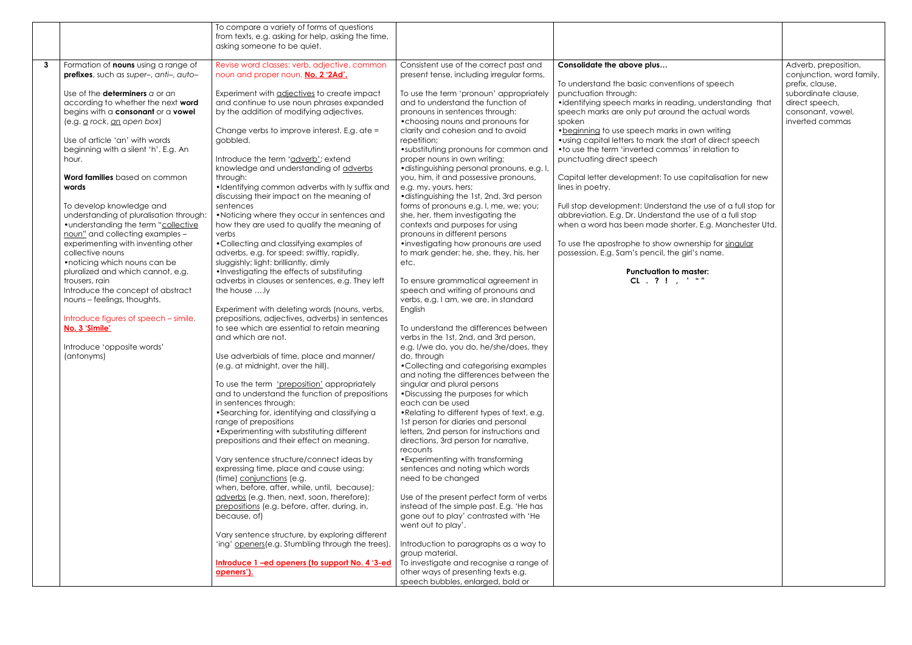|             |                                                                    | To compare a variety of forms of questions                                                           |                                                                                     |                                                              |                                      |
|-------------|--------------------------------------------------------------------|------------------------------------------------------------------------------------------------------|-------------------------------------------------------------------------------------|--------------------------------------------------------------|--------------------------------------|
|             |                                                                    | from texts, e.g. asking for help, asking the time,                                                   |                                                                                     |                                                              |                                      |
|             |                                                                    | asking someone to be quiet.                                                                          |                                                                                     |                                                              |                                      |
| $3^{\circ}$ | Formation of nouns using a range of                                | Revise word classes: verb, adjective, common                                                         | Consistent use of the correct past and                                              | Consolidate the above plus                                   | Adverb, preposition,                 |
|             | prefixes, such as super-, anti-, auto-                             | noun and proper noun. No. 2 '2Ad'.                                                                   | present tense, including irregular forms.                                           |                                                              | conjunction, word family,            |
|             |                                                                    |                                                                                                      |                                                                                     | To understand the basic conventions of speech                | prefix, clause,                      |
|             | Use of the <b>determiners</b> a or an                              | Experiment with adjectives to create impact                                                          | To use the term 'pronoun' appropriately                                             | punctuation through:                                         | subordinate clause,                  |
|             | according to whether the next word                                 | and continue to use noun phrases expanded                                                            | and to understand the function of                                                   | •identifying speech marks in reading, understanding that     | direct speech,                       |
|             | begins with a consonant or a vowel<br>(e.g. g rock, an open box)   | by the addition of modifying adjectives.                                                             | pronouns in sentences through:<br>• choosing nouns and pronouns for                 | speech marks are only put around the actual words<br>spoken  | consonant, vowel,<br>inverted commas |
|             |                                                                    | Change verbs to improve interest. E.g. ate =                                                         | clarity and cohesion and to avoid                                                   | • beginning to use speech marks in own writing               |                                      |
|             | Use of article 'an' with words                                     | gobbled.                                                                                             | repetition;                                                                         | • using capital letters to mark the start of direct speech   |                                      |
|             | beginning with a silent 'h'. E.g. An                               |                                                                                                      | • substituting pronouns for common and                                              | • to use the term 'inverted commas' in relation to           |                                      |
|             | hour.                                                              | Introduce the term 'adverb'; extend                                                                  | proper nouns in own writing;                                                        | punctuating direct speech                                    |                                      |
|             |                                                                    | knowledge and understanding of adverbs                                                               | ·distinguishing personal pronouns, e.g. I,                                          |                                                              |                                      |
|             | Word families based on common                                      | through:                                                                                             | you, him, it and possessive pronouns,                                               | Capital letter development: To use capitalisation for new    |                                      |
|             | words                                                              | ·Identifying common adverbs with ly suffix and                                                       | e.g. my, yours, hers;                                                               | lines in poetry.                                             |                                      |
|             | To develop knowledge and                                           | discussing their impact on the meaning of<br>sentences                                               | • distinguishing the 1st, 2nd, 3rd person<br>forms of pronouns e.g. I, me, we; you; | Full stop development: Understand the use of a full stop for |                                      |
|             | understanding of pluralisation through:                            | • Noticing where they occur in sentences and                                                         | she, her, them investigating the                                                    | abbreviation. E.g. Dr. Understand the use of a full stop     |                                      |
|             | • understanding the term "collective                               | how they are used to qualify the meaning of                                                          | contexts and purposes for using                                                     | when a word has been made shorter. E.g. Manchester Utd.      |                                      |
|             | noun" and collecting examples -                                    | verbs                                                                                                | pronouns in different persons                                                       |                                                              |                                      |
|             | experimenting with inventing other                                 | • Collecting and classifying examples of                                                             | • investigating how pronouns are used                                               | To use the apostrophe to show ownership for singular         |                                      |
|             | collective nouns                                                   | adverbs, e.g. for speed: swiftly, rapidly,                                                           | to mark gender: he, she, they, his, her                                             | possession. E.g. Sam's pencil, the girl's name.              |                                      |
|             | • noticing which nouns can be<br>pluralized and which cannot, e.g. | sluggishly; light: brilliantly, dimly                                                                | etc.                                                                                | <b>Punctuation to master:</b>                                |                                      |
|             | trousers, rain                                                     | .Investigating the effects of substituting<br>adverbs in clauses or sentences, e.g. They left        | To ensure grammatical agreement in                                                  | CL . ? ! , $'$ ""                                            |                                      |
|             | Introduce the concept of abstract                                  | the house ly                                                                                         | speech and writing of pronouns and                                                  |                                                              |                                      |
|             | nouns - feelings, thoughts.                                        |                                                                                                      | verbs, e.g. I am, we are, in standard                                               |                                                              |                                      |
|             |                                                                    | Experiment with deleting words (nouns, verbs,                                                        | English                                                                             |                                                              |                                      |
|             | Introduce figures of speech - simile.                              | prepositions, adjectives, adverbs) in sentences                                                      |                                                                                     |                                                              |                                      |
|             | No. 3 'Simile'                                                     | to see which are essential to retain meaning                                                         | To understand the differences between                                               |                                                              |                                      |
|             | Introduce 'opposite words'                                         | and which are not.                                                                                   | verbs in the 1st, 2nd, and 3rd person,<br>e.g. I/we do, you do, he/she/does, they   |                                                              |                                      |
|             | (antonyms)                                                         | Use adverbials of time, place and manner/                                                            | do, through                                                                         |                                                              |                                      |
|             |                                                                    | (e.g. at midnight, over the hill).                                                                   | • Collecting and categorising examples                                              |                                                              |                                      |
|             |                                                                    |                                                                                                      | and noting the differences between the                                              |                                                              |                                      |
|             |                                                                    | To use the term 'preposition' appropriately                                                          | singular and plural persons                                                         |                                                              |                                      |
|             |                                                                    | and to understand the function of prepositions<br>in sentences through:                              | • Discussing the purposes for which<br>each can be used                             |                                                              |                                      |
|             |                                                                    | • Searching for, identifying and classifying a                                                       | • Relating to different types of text, e.g.                                         |                                                              |                                      |
|             |                                                                    | range of prepositions                                                                                | 1st person for diaries and personal                                                 |                                                              |                                      |
|             |                                                                    | • Experimenting with substituting different                                                          | letters, 2nd person for instructions and                                            |                                                              |                                      |
|             |                                                                    | prepositions and their effect on meaning.                                                            | directions, 3rd person for narrative,                                               |                                                              |                                      |
|             |                                                                    |                                                                                                      | recounts                                                                            |                                                              |                                      |
|             |                                                                    | Vary sentence structure/connect ideas by<br>expressing time, place and cause using:                  | • Experimenting with transforming<br>sentences and noting which words               |                                                              |                                      |
|             |                                                                    | (time) conjunctions (e.g.                                                                            | need to be changed                                                                  |                                                              |                                      |
|             |                                                                    | when, before, after, while, until, because);                                                         |                                                                                     |                                                              |                                      |
|             |                                                                    | adverbs (e.g. then, next, soon, therefore);                                                          | Use of the present perfect form of verbs                                            |                                                              |                                      |
|             |                                                                    | prepositions (e.g. before, after, during, in,                                                        | instead of the simple past. E.g. 'He has                                            |                                                              |                                      |
|             |                                                                    | because, of)                                                                                         | gone out to play' contrasted with 'He                                               |                                                              |                                      |
|             |                                                                    |                                                                                                      | went out to play'.                                                                  |                                                              |                                      |
|             |                                                                    | Vary sentence structure, by exploring different<br>'ing' openers (e.g. Stumbling through the trees). | Introduction to paragraphs as a way to                                              |                                                              |                                      |
|             |                                                                    |                                                                                                      | group material.                                                                     |                                                              |                                      |
|             |                                                                    | Introduce 1-ed openers (to support No. 4 '3-ed                                                       | To investigate and recognise a range of                                             |                                                              |                                      |
|             |                                                                    | openers').                                                                                           | other ways of presenting texts e.g.                                                 |                                                              |                                      |
|             |                                                                    |                                                                                                      | speech bubbles, enlarged, bold or                                                   |                                                              |                                      |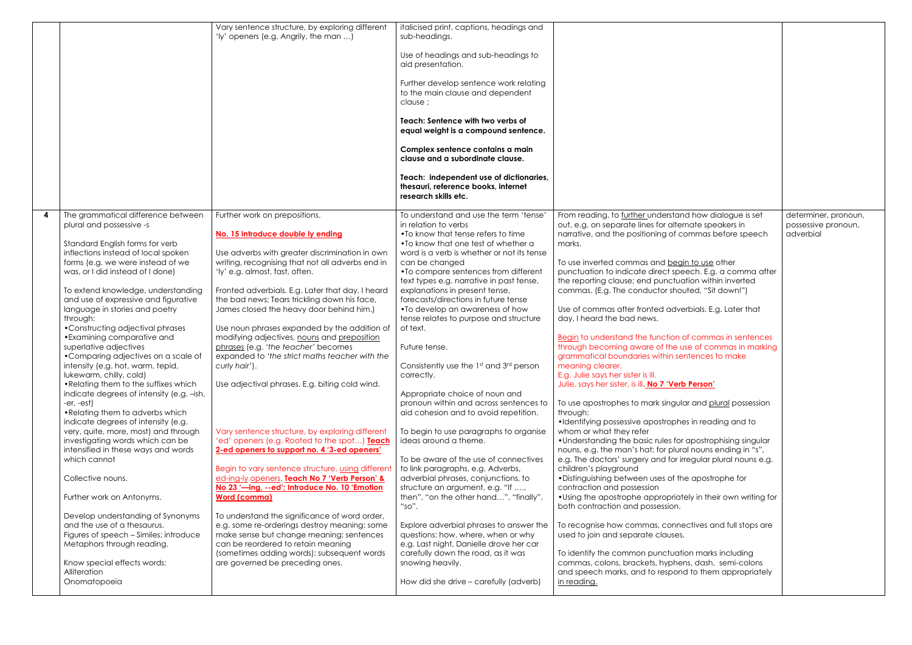|                                                                                    | Vary sentence structure, by exploring different<br>'ly' openers (e.g. Angrily, the man )           | italicised print, captions, headings and<br>sub-headings.<br>Use of headings and sub-headings to<br>aid presentation.<br>Further develop sentence work relating<br>to the main clause and dependent<br>clause;<br>Teach: Sentence with two verbs of<br>equal weight is a compound sentence.<br>Complex sentence contains a main<br>clause and a subordinate clause.<br>Teach: independent use of dictionaries,<br>thesauri, reference books, internet<br>research skills etc. |                                                                                                                                                                            |                                                          |
|------------------------------------------------------------------------------------|----------------------------------------------------------------------------------------------------|-------------------------------------------------------------------------------------------------------------------------------------------------------------------------------------------------------------------------------------------------------------------------------------------------------------------------------------------------------------------------------------------------------------------------------------------------------------------------------|----------------------------------------------------------------------------------------------------------------------------------------------------------------------------|----------------------------------------------------------|
|                                                                                    |                                                                                                    |                                                                                                                                                                                                                                                                                                                                                                                                                                                                               |                                                                                                                                                                            |                                                          |
| The grammatical difference between<br>plural and possessive -s                     | Further work on prepositions.<br>No. 15 Introduce double ly ending                                 | To understand and use the term 'tense'<br>in relation to verbs<br>• To know that tense refers to time                                                                                                                                                                                                                                                                                                                                                                         | From reading, to further understand how dialogue is set<br>out, e.g. on separate lines for alternate speakers in<br>narrative, and the positioning of commas before speech | determiner, pronoun,<br>possessive pronoun,<br>adverbial |
| Standard English forms for verb<br>inflections instead of local spoken             |                                                                                                    | • To know that one test of whether a<br>word is a verb is whether or not its tense                                                                                                                                                                                                                                                                                                                                                                                            | marks.                                                                                                                                                                     |                                                          |
| forms (e.g. we were instead of we                                                  | Use adverbs with greater discrimination in own<br>writing, recognising that not all adverbs end in | can be changed                                                                                                                                                                                                                                                                                                                                                                                                                                                                | To use inverted commas and begin to use other                                                                                                                              |                                                          |
| was, or I did instead of I done)                                                   | 'ly' e.g. almost, fast, often.                                                                     | •To compare sentences from different                                                                                                                                                                                                                                                                                                                                                                                                                                          | punctuation to indicate direct speech. E.g. a comma after                                                                                                                  |                                                          |
| To extend knowledge, understanding                                                 | Fronted adverbials. E.g. Later that day, I heard                                                   | text types e.g. narrative in past tense,<br>explanations in present tense,                                                                                                                                                                                                                                                                                                                                                                                                    | the reporting clause; end punctuation within inverted<br>commas. (E.g. The conductor shouted, "Sit down!")                                                                 |                                                          |
| and use of expressive and figurative                                               | the bad news; Tears trickling down his face,                                                       | forecasts/directions in future tense                                                                                                                                                                                                                                                                                                                                                                                                                                          |                                                                                                                                                                            |                                                          |
| language in stories and poetry                                                     | James closed the heavy door behind him.)                                                           | •To develop an awareness of how                                                                                                                                                                                                                                                                                                                                                                                                                                               | Use of commas after fronted adverbials. E.g. Later that                                                                                                                    |                                                          |
| through:<br>• Constructing adjectival phrases                                      | Use noun phrases expanded by the addition of                                                       | tense relates to purpose and structure<br>of text.                                                                                                                                                                                                                                                                                                                                                                                                                            | day, I heard the bad news.                                                                                                                                                 |                                                          |
| • Examining comparative and                                                        | modifying adjectives, nouns and preposition                                                        |                                                                                                                                                                                                                                                                                                                                                                                                                                                                               | Begin to understand the function of commas in sentences                                                                                                                    |                                                          |
| superlative adjectives                                                             | phrases (e.g. 'the teacher' becomes                                                                | Future tense.                                                                                                                                                                                                                                                                                                                                                                                                                                                                 | through becoming aware of the use of commas in marking                                                                                                                     |                                                          |
| • Comparing adjectives on a scale of<br>intensity (e.g. hot, warm, tepid,          | expanded to 'the strict maths teacher with the<br>curly hair').                                    | Consistently use the 1st and 3rd person                                                                                                                                                                                                                                                                                                                                                                                                                                       | grammatical boundaries within sentences to make<br>meaning clearer.                                                                                                        |                                                          |
| lukewarm, chilly, cold)                                                            |                                                                                                    | correctly.                                                                                                                                                                                                                                                                                                                                                                                                                                                                    | E.g. Julie says her sister is ill.                                                                                                                                         |                                                          |
| • Relating them to the suffixes which<br>indicate degrees of intensity (e.g. -ish, | Use adjectival phrases. E.g. biting cold wind.                                                     | Appropriate choice of noun and                                                                                                                                                                                                                                                                                                                                                                                                                                                | Julie, says her sister, is ill. No 7 'Verb Person'                                                                                                                         |                                                          |
| -er, -est)                                                                         |                                                                                                    | pronoun within and across sentences to                                                                                                                                                                                                                                                                                                                                                                                                                                        | To use apostrophes to mark singular and plural possession                                                                                                                  |                                                          |
| • Relating them to adverbs which                                                   |                                                                                                    | aid cohesion and to avoid repetition.                                                                                                                                                                                                                                                                                                                                                                                                                                         | through:                                                                                                                                                                   |                                                          |
| indicate degrees of intensity (e.g.<br>very, quite, more, most) and through        | Vary sentence structure, by exploring different                                                    | To begin to use paragraphs to organise                                                                                                                                                                                                                                                                                                                                                                                                                                        | •Identifying possessive apostrophes in reading and to<br>whom or what they refer                                                                                           |                                                          |
| investigating words which can be                                                   | 'ed' openers (e.g. Rooted to the spot) Teach                                                       | ideas around a theme.                                                                                                                                                                                                                                                                                                                                                                                                                                                         | • Understanding the basic rules for apostrophising singular                                                                                                                |                                                          |
| intensified in these ways and words                                                | 2-ed openers to support no. 4 '3-ed openers'                                                       |                                                                                                                                                                                                                                                                                                                                                                                                                                                                               | nouns, e.g. the man's hat; for plural nouns ending in "s",                                                                                                                 |                                                          |
| which cannot                                                                       | Begin to vary sentence structure, using different                                                  | To be aware of the use of connectives<br>to link paragraphs, e.g. Adverbs,                                                                                                                                                                                                                                                                                                                                                                                                    | e.g. The doctors' surgery and for irregular plural nouns e.g.<br>children's playground                                                                                     |                                                          |
| Collective nouns.                                                                  | ed-ing-ly openers. Teach No 7 'Verb Person' &                                                      | adverbial phrases, conjunctions, to                                                                                                                                                                                                                                                                                                                                                                                                                                           | • Distinguishing between uses of the apostrophe for                                                                                                                        |                                                          |
|                                                                                    | No 23 '-ing, --ed'; Introduce No. 10 'Emotion                                                      | structure an argument, e.g. "If ,                                                                                                                                                                                                                                                                                                                                                                                                                                             | contraction and possession                                                                                                                                                 |                                                          |
| Further work on Antonyms.                                                          | <b>Word (comma)</b>                                                                                | then", "on the other hand", "finally",<br>"so".                                                                                                                                                                                                                                                                                                                                                                                                                               | • Using the apostrophe appropriately in their own writing for<br>both contraction and possession.                                                                          |                                                          |
| Develop understanding of Synonyms<br>and the use of a thesaurus.                   | To understand the significance of word order,<br>e.g. some re-orderings destroy meaning; some      |                                                                                                                                                                                                                                                                                                                                                                                                                                                                               |                                                                                                                                                                            |                                                          |
| Figures of speech - Similes; introduce                                             | make sense but change meaning; sentences                                                           | Explore adverbial phrases to answer the<br>questions: how, where, when or why                                                                                                                                                                                                                                                                                                                                                                                                 | To recognise how commas, connectives and full stops are<br>used to join and separate clauses.                                                                              |                                                          |
| Metaphors through reading.                                                         | can be reordered to retain meaning                                                                 | e.g. Last night, Danielle drove her car                                                                                                                                                                                                                                                                                                                                                                                                                                       |                                                                                                                                                                            |                                                          |
| Know special effects words:                                                        | (sometimes adding words); subsequent words<br>are governed be preceding ones.                      | carefully down the road, as it was<br>snowing heavily.                                                                                                                                                                                                                                                                                                                                                                                                                        | To identify the common punctuation marks including<br>commas, colons, brackets, hyphens, dash, semi-colons                                                                 |                                                          |
| Alliteration                                                                       |                                                                                                    |                                                                                                                                                                                                                                                                                                                                                                                                                                                                               | and speech marks, and to respond to them appropriately                                                                                                                     |                                                          |
| Onomatopoeia                                                                       |                                                                                                    | How did she drive – carefully (adverb)                                                                                                                                                                                                                                                                                                                                                                                                                                        | in reading.                                                                                                                                                                |                                                          |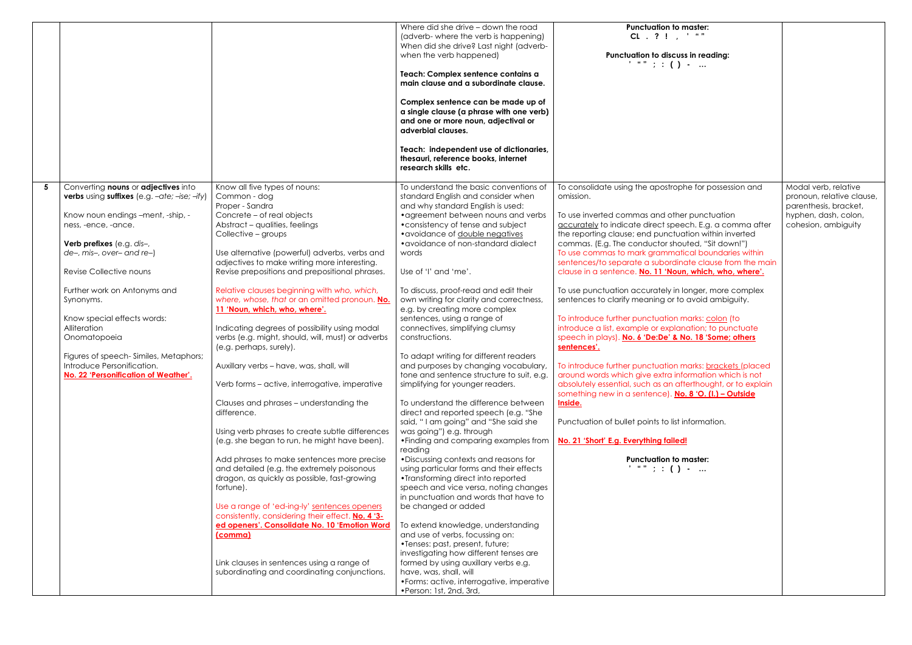|   |                                                                                                                                                                                                                                                                                                                                                                                                                                                                               |                                                                                                                                                                                                                                                                                                                                                                                                                                                                                                                                                                                                                                                                                                                                                                                                                                                                                                                                                                                                                                                                                                                                                                                                                                                                 | Where did she drive - down the road<br>(adverb- where the verb is happening)<br>When did she drive? Last night (adverb-<br>when the verb happened)<br>Teach: Complex sentence contains a<br>main clause and a subordinate clause.<br>Complex sentence can be made up of<br>a single clause (a phrase with one verb)<br>and one or more noun, adjectival or<br>adverbial clauses.<br>Teach: independent use of dictionaries,<br>thesauri, reference books, internet<br>research skills etc.                                                                                                                                                                                                                                                                                                                                                                                                                                                                                                                                                                                                                                                                                                                                                                                                                                                                                                                                            | <b>Punctuation to master:</b><br>$CL$ . ? ! . ' ""<br>Punctuation to discuss in reading:<br>$\frac{1}{2}$ and $\frac{1}{2}$ : ( ) -                                                                                                                                                                                                                                                                                                                                                                                                                                                                                                                                                                                                                                                                                                                                                                                                                                                                                                                                                                                                                                                                             |                                                                                                                           |
|---|-------------------------------------------------------------------------------------------------------------------------------------------------------------------------------------------------------------------------------------------------------------------------------------------------------------------------------------------------------------------------------------------------------------------------------------------------------------------------------|-----------------------------------------------------------------------------------------------------------------------------------------------------------------------------------------------------------------------------------------------------------------------------------------------------------------------------------------------------------------------------------------------------------------------------------------------------------------------------------------------------------------------------------------------------------------------------------------------------------------------------------------------------------------------------------------------------------------------------------------------------------------------------------------------------------------------------------------------------------------------------------------------------------------------------------------------------------------------------------------------------------------------------------------------------------------------------------------------------------------------------------------------------------------------------------------------------------------------------------------------------------------|---------------------------------------------------------------------------------------------------------------------------------------------------------------------------------------------------------------------------------------------------------------------------------------------------------------------------------------------------------------------------------------------------------------------------------------------------------------------------------------------------------------------------------------------------------------------------------------------------------------------------------------------------------------------------------------------------------------------------------------------------------------------------------------------------------------------------------------------------------------------------------------------------------------------------------------------------------------------------------------------------------------------------------------------------------------------------------------------------------------------------------------------------------------------------------------------------------------------------------------------------------------------------------------------------------------------------------------------------------------------------------------------------------------------------------------|-----------------------------------------------------------------------------------------------------------------------------------------------------------------------------------------------------------------------------------------------------------------------------------------------------------------------------------------------------------------------------------------------------------------------------------------------------------------------------------------------------------------------------------------------------------------------------------------------------------------------------------------------------------------------------------------------------------------------------------------------------------------------------------------------------------------------------------------------------------------------------------------------------------------------------------------------------------------------------------------------------------------------------------------------------------------------------------------------------------------------------------------------------------------------------------------------------------------|---------------------------------------------------------------------------------------------------------------------------|
| 5 | Converting <b>nouns</b> or <b>adjectives</b> into<br>verbs using suffixes (e.g. -ate; -ise; -ify)<br>Know noun endings -ment, -ship, -<br>ness, -ence, -ance.<br>Verb prefixes (e.g. dis-,<br>de-, mis-, over- and re-)<br>Revise Collective nouns<br>Further work on Antonyms and<br>Synonyms.<br>Know special effects words:<br>Alliteration<br>Onomatopoeia<br>Figures of speech-Similes, Metaphors;<br>Introduce Personification.<br>No. 22 'Personification of Weather'. | Know all five types of nouns:<br>Common - dog<br>Proper - Sandra<br>Concrete - of real objects<br>Abstract - qualities, feelings<br>Collective - groups<br>Use alternative (powerful) adverbs, verbs and<br>adjectives to make writing more interesting.<br>Revise prepositions and prepositional phrases.<br>Relative clauses beginning with who, which,<br>where, whose, that or an omitted pronoun. No.<br>11 'Noun, which, who, where'.<br>Indicating degrees of possibility using modal<br>verbs (e.g. might, should, will, must) or adverbs<br>(e.g. perhaps, surely).<br>Auxillary verbs - have, was, shall, will<br>Verb forms – active, interrogative, imperative<br>Clauses and phrases - understanding the<br>difference.<br>Using verb phrases to create subtle differences<br>(e.g. she began to run, he might have been).<br>Add phrases to make sentences more precise<br>and detailed (e.g. the extremely poisonous<br>dragon, as quickly as possible, fast-growing<br>fortune).<br>Use a range of 'ed-ing-ly' sentences openers<br>consistently, considering their effect. No. 4 '3-<br>ed openers'. Consolidate No. 10 'Emotion Word<br>(comma)<br>Link clauses in sentences using a range of<br>subordinating and coordinating conjunctions. | To understand the basic conventions of<br>standard English and consider when<br>and why standard English is used:<br>• agreement between nouns and verbs<br>• consistency of tense and subject<br>• avoidance of double negatives<br>• avoidance of non-standard dialect<br>words<br>Use of 'I' and 'me'.<br>To discuss, proof-read and edit their<br>own writing for clarity and correctness,<br>e.g. by creating more complex<br>sentences, using a range of<br>connectives, simplifying clumsy<br>constructions.<br>To adapt writing for different readers<br>and purposes by changing vocabulary,<br>tone and sentence structure to suit, e.g.<br>simplifying for younger readers.<br>To understand the difference between<br>direct and reported speech (e.g. "She<br>said, "I am going" and "She said she<br>was going") e.g. through<br>• Finding and comparing examples from<br>reading<br>• Discussing contexts and reasons for<br>using particular forms and their effects<br>• Transforming direct into reported<br>speech and vice versa, noting changes<br>in punctuation and words that have to<br>be changed or added<br>To extend knowledge, understanding<br>and use of verbs, focussing on:<br>•Tenses: past, present, future;<br>investigating how different tenses are<br>formed by using auxillary verbs e.g.<br>have, was, shall, will<br>• Forms: active, interrogative, imperative<br>•Person: 1st, 2nd, 3rd, | To consolidate using the apostrophe for possession and<br>omission.<br>To use inverted commas and other punctuation<br>accurately to indicate direct speech. E.g. a comma after<br>the reporting clause; end punctuation within inverted<br>commas. (E.g. The conductor shouted, "Sit down!")<br>To use commas to mark grammatical boundaries within<br>sentences/to separate a subordinate clause from the main<br>clause in a sentence. No. 11 'Noun, which, who, where'.<br>To use punctuation accurately in longer, more complex<br>sentences to clarify meaning or to avoid ambiguity.<br>To introduce further punctuation marks: colon (to<br>introduce a list, example or explanation; to punctuate<br>speech in plays). No. 6 'De:De' & No. 18 'Some; others<br>sentences'.<br>To introduce further punctuation marks: brackets (placed<br>around words which give extra information which is not<br>absolutely essential, such as an afterthought, or to explain<br>something new in a sentence). No. 8 'O. (I.) - Outside<br>Inside.<br>Punctuation of bullet points to list information.<br>No. 21 'Short' E.g. Everything failed!<br><b>Punctuation to master:</b><br>$\cdots$ and $\cdots$ : ( ) - | Modal verb, relative<br>pronoun, relative clause,<br>parenthesis, bracket,<br>hyphen, dash, colon,<br>cohesion, ambiguity |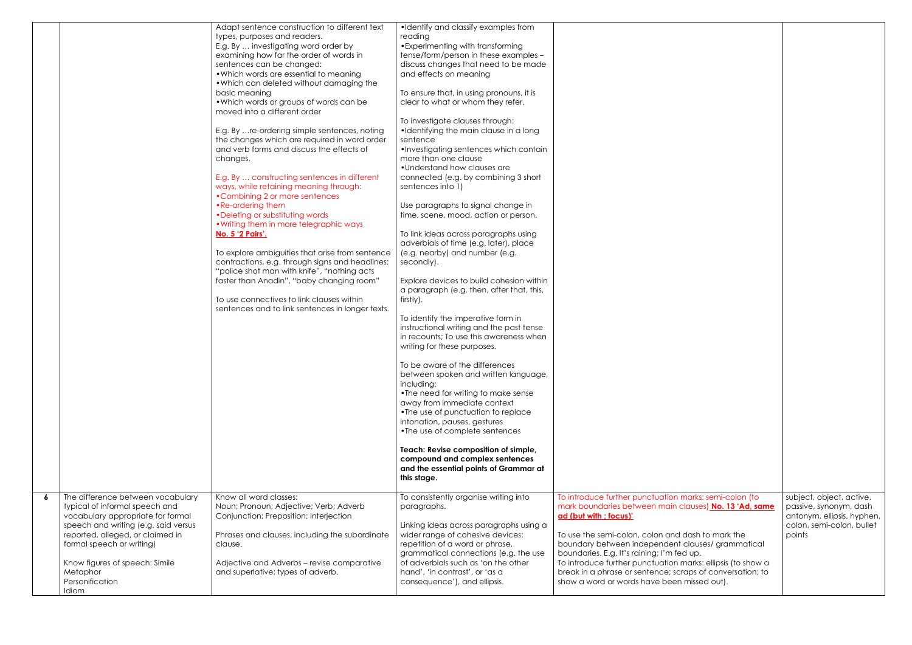|   |                                                                                                                                                                                                                   | Adapt sentence construction to different text<br>types, purposes and readers.<br>E.g. By  investigating word order by<br>examining how far the order of words in<br>sentences can be changed:<br>. Which words are essential to meaning<br>. Which can deleted without damaging the<br>basic meaning<br>. Which words or groups of words can be<br>moved into a different order<br>E.g. By  re-ordering simple sentences, noting<br>the changes which are required in word order<br>and verb forms and discuss the effects of<br>changes.<br>E.g. By  constructing sentences in different<br>ways, while retaining meaning through:<br>•Combining 2 or more sentences<br>• Re-ordering them<br>• Deleting or substituting words<br>. Writing them in more telegraphic ways<br>No. 5 '2 Pairs'.<br>To explore ambiguities that arise from sentence<br>contractions, e.g. through signs and headlines:<br>"police shot man with knife", "nothing acts<br>faster than Anadin", "baby changing room"<br>To use connectives to link clauses within<br>sentences and to link sentences in longer texts. | •Identify and classify examples from<br>reading<br>• Experimenting with transforming<br>tense/form/person in these examples -<br>discuss changes that need to be made<br>and effects on meaning<br>To ensure that, in using pronouns, it is<br>clear to what or whom they refer.<br>To investigate clauses through:<br>•Identifying the main clause in a long<br>sentence<br>•Investigating sentences which contain<br>more than one clause<br>• Understand how clauses are<br>connected (e.g. by combining 3 short<br>sentences into 1)<br>Use paragraphs to signal change in<br>time, scene, mood, action or person.<br>To link ideas across paragraphs using<br>adverbials of time (e.g. later), place<br>(e.g. nearby) and number (e.g.<br>secondly).<br>Explore devices to build cohesion within<br>a paragraph (e.g. then, after that, this,<br>firstly).<br>To identify the imperative form in<br>instructional writing and the past tense<br>in recounts; To use this awareness when<br>writing for these purposes.<br>To be aware of the differences<br>between spoken and written language,<br>including:<br>• The need for writing to make sense<br>away from immediate context<br>•The use of punctuation to replace<br>intonation, pauses, gestures<br>•The use of complete sentences<br>Teach: Revise composition of simple,<br>compound and complex sentences<br>and the essential points of Grammar at<br>this stage. |                                                                                                                                                                                                                                                                                                   |
|---|-------------------------------------------------------------------------------------------------------------------------------------------------------------------------------------------------------------------|---------------------------------------------------------------------------------------------------------------------------------------------------------------------------------------------------------------------------------------------------------------------------------------------------------------------------------------------------------------------------------------------------------------------------------------------------------------------------------------------------------------------------------------------------------------------------------------------------------------------------------------------------------------------------------------------------------------------------------------------------------------------------------------------------------------------------------------------------------------------------------------------------------------------------------------------------------------------------------------------------------------------------------------------------------------------------------------------------|---------------------------------------------------------------------------------------------------------------------------------------------------------------------------------------------------------------------------------------------------------------------------------------------------------------------------------------------------------------------------------------------------------------------------------------------------------------------------------------------------------------------------------------------------------------------------------------------------------------------------------------------------------------------------------------------------------------------------------------------------------------------------------------------------------------------------------------------------------------------------------------------------------------------------------------------------------------------------------------------------------------------------------------------------------------------------------------------------------------------------------------------------------------------------------------------------------------------------------------------------------------------------------------------------------------------------------------------------------------------------------------------------------------------------------------|---------------------------------------------------------------------------------------------------------------------------------------------------------------------------------------------------------------------------------------------------------------------------------------------------|
|   |                                                                                                                                                                                                                   |                                                                                                                                                                                                                                                                                                                                                                                                                                                                                                                                                                                                                                                                                                                                                                                                                                                                                                                                                                                                                                                                                                   |                                                                                                                                                                                                                                                                                                                                                                                                                                                                                                                                                                                                                                                                                                                                                                                                                                                                                                                                                                                                                                                                                                                                                                                                                                                                                                                                                                                                                                       |                                                                                                                                                                                                                                                                                                   |
| 6 | The difference between vocabulary<br>typical of informal speech and<br>vocabulary appropriate for formal<br>speech and writing (e.g. said versus<br>reported, alleged, or claimed in<br>formal speech or writing) | Know all word classes:<br>Noun; Pronoun; Adjective; Verb; Adverb<br>Conjunction; Preposition; Interjection<br>Phrases and clauses, including the subordinate<br>clause.                                                                                                                                                                                                                                                                                                                                                                                                                                                                                                                                                                                                                                                                                                                                                                                                                                                                                                                           | To consistently organise writing into<br>paragraphs.<br>Linking ideas across paragraphs using a<br>wider range of cohesive devices:<br>repetition of a word or phrase,<br>grammatical connections (e.g. the use                                                                                                                                                                                                                                                                                                                                                                                                                                                                                                                                                                                                                                                                                                                                                                                                                                                                                                                                                                                                                                                                                                                                                                                                                       | To introduce further punctuation marks: semi-colon (to<br>mark boundaries between main clauses) No. 13 'Ad, same<br>ad (but with ; focus)'<br>To use the semi-colon, colon and dash to mark the<br>boundary between independent clauses/grammatical<br>boundaries. E.g. It's raining; I'm fed up. |
|   | Know figures of speech: Simile<br>Metaphor<br>Personification<br>Idiom                                                                                                                                            | Adjective and Adverbs - revise comparative<br>and superlative; types of adverb.                                                                                                                                                                                                                                                                                                                                                                                                                                                                                                                                                                                                                                                                                                                                                                                                                                                                                                                                                                                                                   | of adverbials such as 'on the other<br>hand', 'in contrast', or 'as a<br>consequence'), and ellipsis.                                                                                                                                                                                                                                                                                                                                                                                                                                                                                                                                                                                                                                                                                                                                                                                                                                                                                                                                                                                                                                                                                                                                                                                                                                                                                                                                 | To introduce further punctuation marks: ellipsis (to show a<br>break in a phrase or sentence; scraps of conversation; to<br>show a word or words have been missed out).                                                                                                                           |

| arks: semi-colon (to                                                                                                                                       | subject, object, active,                                                                    |
|------------------------------------------------------------------------------------------------------------------------------------------------------------|---------------------------------------------------------------------------------------------|
| iuses) <mark>No. 13 'Ad, same</mark><br>ash to mark the<br>auses/grammatical<br>up.<br>arks: ellipsis (to show a<br>ps of conversation; to<br>iissed out). | passive, synonym, dash<br>antonym, ellipsis, hyphen,<br>colon, semi-colon, bullet<br>points |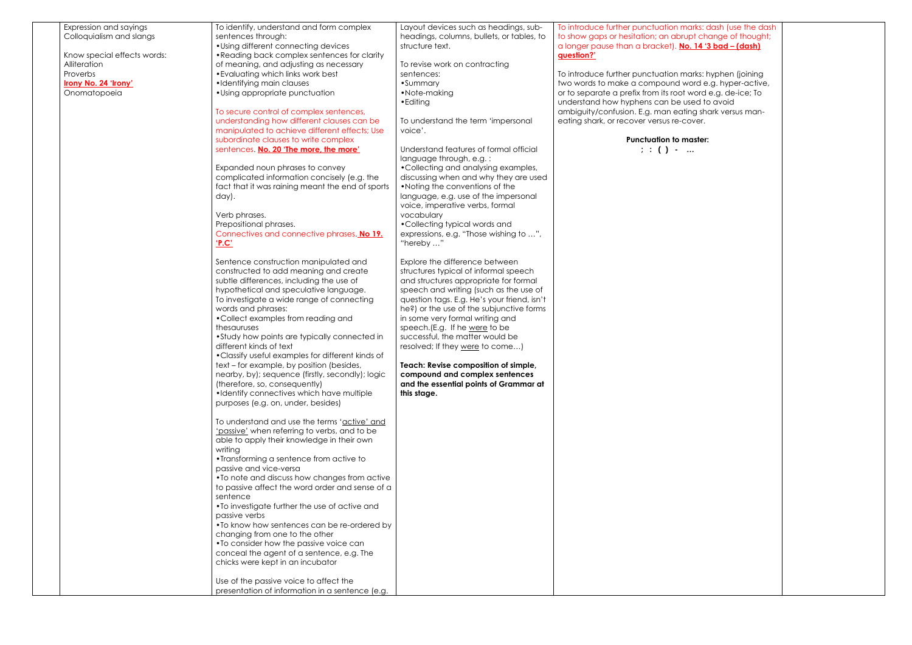| Expression and sayings<br>Colloquialism and slangs<br>Know special effects words:<br>Alliteration<br>Proverbs<br>Irony No. 24 'Irony'<br>Onomatopoeia | To identify, understand and form complex<br>sentences through:<br>• Using different connecting devices<br>• Reading back complex sentences for clarity<br>of meaning, and adjusting as necessary<br>• Evaluating which links work best<br>•Identifying main clauses<br>• Using appropriate punctuation<br>To secure control of complex sentences,<br>understanding how different clauses can be<br>manipulated to achieve different effects; Use<br>subordinate clauses to write complex<br>sentences. No. 20 'The more, the more'<br>Expanded noun phrases to convey<br>complicated information concisely (e.g. the<br>fact that it was raining meant the end of sports<br>day).<br>Verb phrases.<br>Prepositional phrases.<br>Connectives and connective phrases. No 19.<br><u>'P.C'</u><br>Sentence construction manipulated and<br>constructed to add meaning and create<br>subtle differences, including the use of<br>hypothetical and speculative language.<br>To investigate a wide range of connecting<br>words and phrases:<br>•Collect examples from reading and<br>thesauruses<br>• Study how points are typically connected in<br>different kinds of text<br>• Classify useful examples for different kinds of<br>text - for example, by position (besides,<br>nearby, by); sequence (firstly, secondly); logic<br>(therefore, so, consequently)<br>•Identify connectives which have multiple<br>purposes (e.g. on, under, besides)<br>To understand and use the terms 'active' and<br>'passive' when referring to verbs, and to be<br>able to apply their knowledge in their own<br>writing<br>• Transforming a sentence from active to<br>passive and vice-versa<br>. To note and discuss how changes from active | Layout devices such as headings, sub-<br>headings, columns, bullets, or tables, to<br>structure text.<br>To revise work on contracting<br>sentences:<br>•Summary<br>•Note-making<br>• Editing<br>To understand the term 'impersonal<br>voice'.<br>Understand features of formal official<br>language through, e.g.:<br>•Collecting and analysing examples,<br>discussing when and why they are used<br>. Noting the conventions of the<br>language, e.g. use of the impersonal<br>voice, imperative verbs, formal<br>vocabulary<br>•Collecting typical words and<br>expressions, e.g. "Those wishing to ",<br>"hereby "<br>Explore the difference between<br>structures typical of informal speech<br>and structures appropriate for formal<br>speech and writing (such as the use of<br>question tags. E.g. He's your friend, isn't<br>he?) or the use of the subjunctive forms<br>in some very formal writing and<br>speech. (E.g. If he were to be<br>successful, the matter would be<br>resolved; If they were to come)<br>Teach: Revise composition of simple,<br>compound and complex sentences<br>and the essential points of Grammar at<br>this stage. | To introduce further punctuation marks: dash (use the das<br>to show gaps or hesitation; an abrupt change of thought;<br>a longer pause than a bracket). No. 14 '3 bad - (dash)<br>question?'<br>To introduce further punctuation marks: hyphen (joining<br>two words to make a compound word e.g. hyper-active,<br>or to separate a prefix from its root word e.g. de-ice; To<br>understand how hyphens can be used to avoid<br>ambiguity/confusion. E.g. man eating shark versus man-<br>eating shark, or recover versus re-cover.<br><b>Punctuation to master:</b><br>$;\;:\;$ ( ) - |
|-------------------------------------------------------------------------------------------------------------------------------------------------------|----------------------------------------------------------------------------------------------------------------------------------------------------------------------------------------------------------------------------------------------------------------------------------------------------------------------------------------------------------------------------------------------------------------------------------------------------------------------------------------------------------------------------------------------------------------------------------------------------------------------------------------------------------------------------------------------------------------------------------------------------------------------------------------------------------------------------------------------------------------------------------------------------------------------------------------------------------------------------------------------------------------------------------------------------------------------------------------------------------------------------------------------------------------------------------------------------------------------------------------------------------------------------------------------------------------------------------------------------------------------------------------------------------------------------------------------------------------------------------------------------------------------------------------------------------------------------------------------------------------------------------------------------------------------------------------------------------------------------------|----------------------------------------------------------------------------------------------------------------------------------------------------------------------------------------------------------------------------------------------------------------------------------------------------------------------------------------------------------------------------------------------------------------------------------------------------------------------------------------------------------------------------------------------------------------------------------------------------------------------------------------------------------------------------------------------------------------------------------------------------------------------------------------------------------------------------------------------------------------------------------------------------------------------------------------------------------------------------------------------------------------------------------------------------------------------------------------------------------------------------------------------------------------|-----------------------------------------------------------------------------------------------------------------------------------------------------------------------------------------------------------------------------------------------------------------------------------------------------------------------------------------------------------------------------------------------------------------------------------------------------------------------------------------------------------------------------------------------------------------------------------------|
|                                                                                                                                                       | to passive affect the word order and sense of a<br>sentence<br>•To investigate further the use of active and<br>passive verbs<br>• To know how sentences can be re-ordered by<br>changing from one to the other<br>• To consider how the passive voice can<br>conceal the agent of a sentence, e.g. The<br>chicks were kept in an incubator                                                                                                                                                                                                                                                                                                                                                                                                                                                                                                                                                                                                                                                                                                                                                                                                                                                                                                                                                                                                                                                                                                                                                                                                                                                                                                                                                                                      |                                                                                                                                                                                                                                                                                                                                                                                                                                                                                                                                                                                                                                                                                                                                                                                                                                                                                                                                                                                                                                                                                                                                                                |                                                                                                                                                                                                                                                                                                                                                                                                                                                                                                                                                                                         |
|                                                                                                                                                       | Use of the passive voice to affect the<br>presentation of information in a sentence (e.g.                                                                                                                                                                                                                                                                                                                                                                                                                                                                                                                                                                                                                                                                                                                                                                                                                                                                                                                                                                                                                                                                                                                                                                                                                                                                                                                                                                                                                                                                                                                                                                                                                                        |                                                                                                                                                                                                                                                                                                                                                                                                                                                                                                                                                                                                                                                                                                                                                                                                                                                                                                                                                                                                                                                                                                                                                                |                                                                                                                                                                                                                                                                                                                                                                                                                                                                                                                                                                                         |

# The interture further dash intertaint and the dash  $\overline{\phantom{a}}$

## punction to master:<br>Intertain